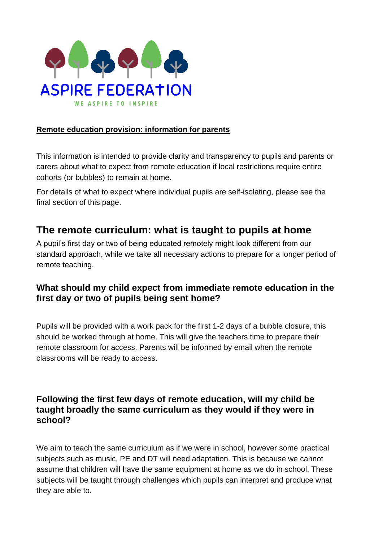

#### **Remote education provision: information for parents**

This information is intended to provide clarity and transparency to pupils and parents or carers about what to expect from remote education if local restrictions require entire cohorts (or bubbles) to remain at home.

For details of what to expect where individual pupils are self-isolating, please see the final section of this page.

### **The remote curriculum: what is taught to pupils at home**

A pupil's first day or two of being educated remotely might look different from our standard approach, while we take all necessary actions to prepare for a longer period of remote teaching.

#### **What should my child expect from immediate remote education in the first day or two of pupils being sent home?**

Pupils will be provided with a work pack for the first 1-2 days of a bubble closure, this should be worked through at home. This will give the teachers time to prepare their remote classroom for access. Parents will be informed by email when the remote classrooms will be ready to access.

#### **Following the first few days of remote education, will my child be taught broadly the same curriculum as they would if they were in school?**

We aim to teach the same curriculum as if we were in school, however some practical subjects such as music, PE and DT will need adaptation. This is because we cannot assume that children will have the same equipment at home as we do in school. These subjects will be taught through challenges which pupils can interpret and produce what they are able to.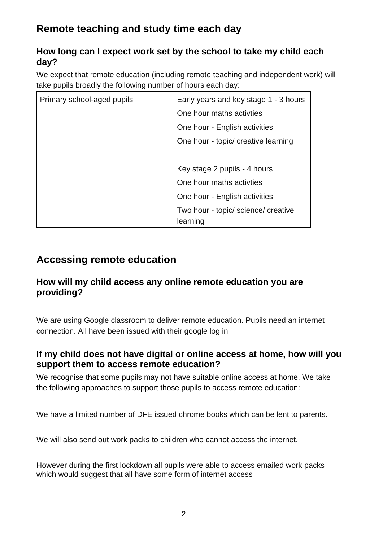# **Remote teaching and study time each day**

### **How long can I expect work set by the school to take my child each day?**

We expect that remote education (including remote teaching and independent work) will take pupils broadly the following number of hours each day:

| Primary school-aged pupils | Early years and key stage 1 - 3 hours           |
|----------------------------|-------------------------------------------------|
|                            | One hour maths activites                        |
|                            | One hour - English activities                   |
|                            | One hour - topic/ creative learning             |
|                            |                                                 |
|                            | Key stage 2 pupils - 4 hours                    |
|                            | One hour maths activties                        |
|                            | One hour - English activities                   |
|                            | Two hour - topic/ science/ creative<br>learning |

## **Accessing remote education**

#### **How will my child access any online remote education you are providing?**

We are using Google classroom to deliver remote education. Pupils need an internet connection. All have been issued with their google log in

### **If my child does not have digital or online access at home, how will you support them to access remote education?**

We recognise that some pupils may not have suitable online access at home. We take the following approaches to support those pupils to access remote education:

We have a limited number of DFE issued chrome books which can be lent to parents.

We will also send out work packs to children who cannot access the internet.

However during the first lockdown all pupils were able to access emailed work packs which would suggest that all have some form of internet access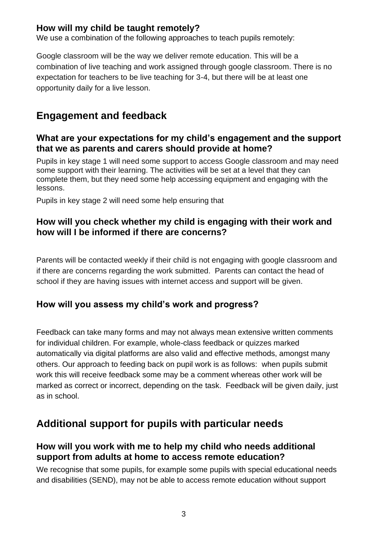#### **How will my child be taught remotely?**

We use a combination of the following approaches to teach pupils remotely:

Google classroom will be the way we deliver remote education. This will be a combination of live teaching and work assigned through google classroom. There is no expectation for teachers to be live teaching for 3-4, but there will be at least one opportunity daily for a live lesson.

### **Engagement and feedback**

#### **What are your expectations for my child's engagement and the support that we as parents and carers should provide at home?**

Pupils in key stage 1 will need some support to access Google classroom and may need some support with their learning. The activities will be set at a level that they can complete them, but they need some help accessing equipment and engaging with the lessons.

Pupils in key stage 2 will need some help ensuring that

#### **How will you check whether my child is engaging with their work and how will I be informed if there are concerns?**

Parents will be contacted weekly if their child is not engaging with google classroom and if there are concerns regarding the work submitted. Parents can contact the head of school if they are having issues with internet access and support will be given.

#### **How will you assess my child's work and progress?**

Feedback can take many forms and may not always mean extensive written comments for individual children. For example, whole-class feedback or quizzes marked automatically via digital platforms are also valid and effective methods, amongst many others. Our approach to feeding back on pupil work is as follows: when pupils submit work this will receive feedback some may be a comment whereas other work will be marked as correct or incorrect, depending on the task. Feedback will be given daily, just as in school.

### **Additional support for pupils with particular needs**

#### **How will you work with me to help my child who needs additional support from adults at home to access remote education?**

We recognise that some pupils, for example some pupils with special educational needs and disabilities (SEND), may not be able to access remote education without support